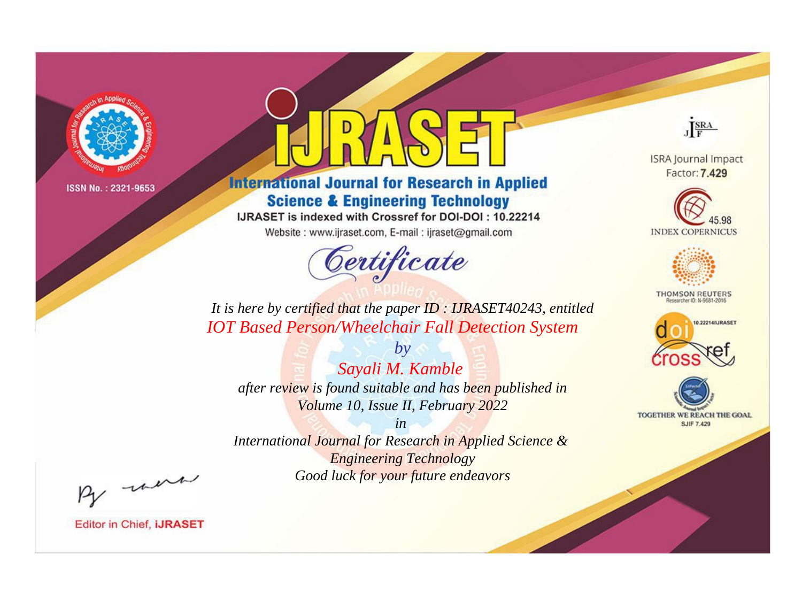

# **International Journal for Research in Applied Science & Engineering Technology**

IJRASET is indexed with Crossref for DOI-DOI: 10.22214

Website: www.ijraset.com, E-mail: ijraset@gmail.com



JERA

**ISRA Journal Impact** Factor: 7.429





**THOMSON REUTERS** 



TOGETHER WE REACH THE GOAL **SJIF 7.429** 

It is here by certified that the paper ID: IJRASET40243, entitled **IOT Based Person/Wheelchair Fall Detection System** 

 $by$ Sayali M. Kamble after review is found suitable and has been published in Volume 10, Issue II, February 2022

 $in$ International Journal for Research in Applied Science & **Engineering Technology** Good luck for your future endeavors

By morn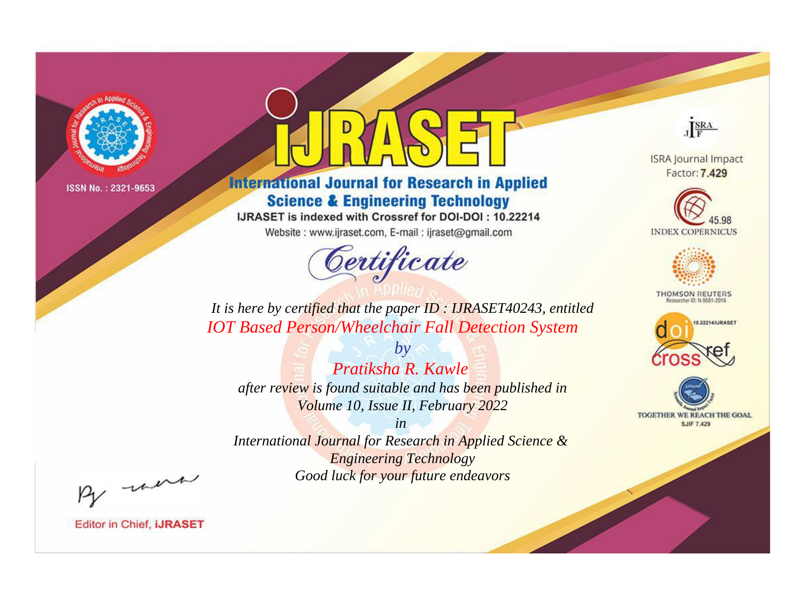

# **International Journal for Research in Applied Science & Engineering Technology**

IJRASET is indexed with Crossref for DOI-DOI: 10.22214

Website: www.ijraset.com, E-mail: ijraset@gmail.com



JERA

**ISRA Journal Impact** Factor: 7.429





**THOMSON REUTERS** 



TOGETHER WE REACH THE GOAL **SJIF 7.429** 

It is here by certified that the paper ID: IJRASET40243, entitled **IOT Based Person/Wheelchair Fall Detection System** 

Pratiksha R. Kawle after review is found suitable and has been published in Volume 10, Issue II, February 2022

 $b\nu$ 

 $in$ International Journal for Research in Applied Science & **Engineering Technology** Good luck for your future endeavors

By morn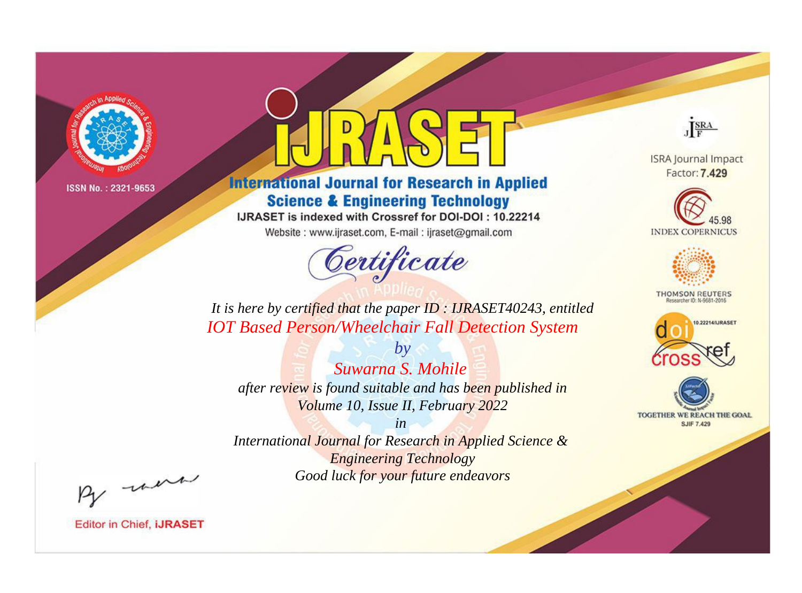

# **International Journal for Research in Applied Science & Engineering Technology**

IJRASET is indexed with Crossref for DOI-DOI: 10.22214

Website: www.ijraset.com, E-mail: ijraset@gmail.com



JERA

**ISRA Journal Impact** Factor: 7.429





**THOMSON REUTERS** 



TOGETHER WE REACH THE GOAL **SJIF 7.429** 

It is here by certified that the paper ID: IJRASET40243, entitled **IOT Based Person/Wheelchair Fall Detection System** 

Suwarna S. Mohile after review is found suitable and has been published in Volume 10, Issue II, February 2022

 $b\nu$ 

 $in$ International Journal for Research in Applied Science & **Engineering Technology** Good luck for your future endeavors

By morn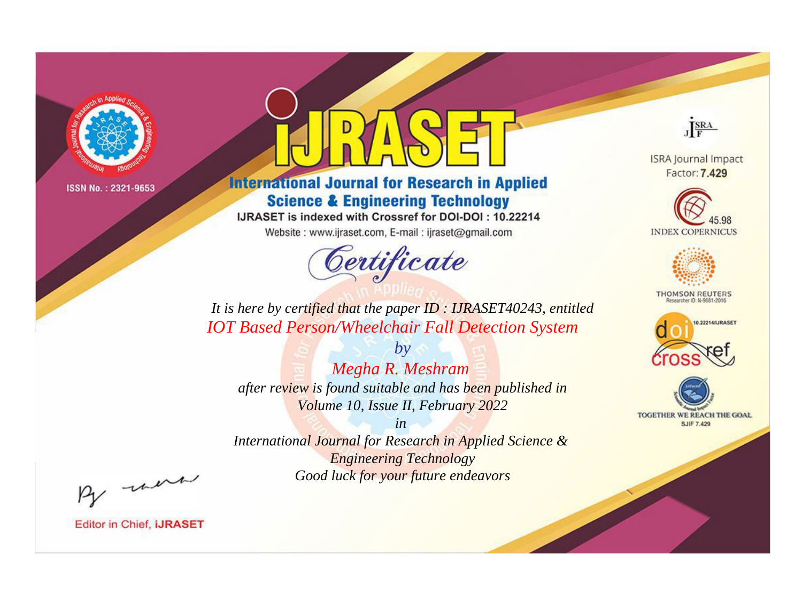

# **International Journal for Research in Applied Science & Engineering Technology**

IJRASET is indexed with Crossref for DOI-DOI: 10.22214

Website: www.ijraset.com, E-mail: ijraset@gmail.com



JERA

**ISRA Journal Impact** Factor: 7.429





**THOMSON REUTERS** 



TOGETHER WE REACH THE GOAL **SJIF 7.429** 

It is here by certified that the paper ID: IJRASET40243, entitled **IOT Based Person/Wheelchair Fall Detection System** 

Megha R. Meshram after review is found suitable and has been published in Volume 10, Issue II, February 2022

 $by$ 

 $in$ International Journal for Research in Applied Science & **Engineering Technology** Good luck for your future endeavors

By morn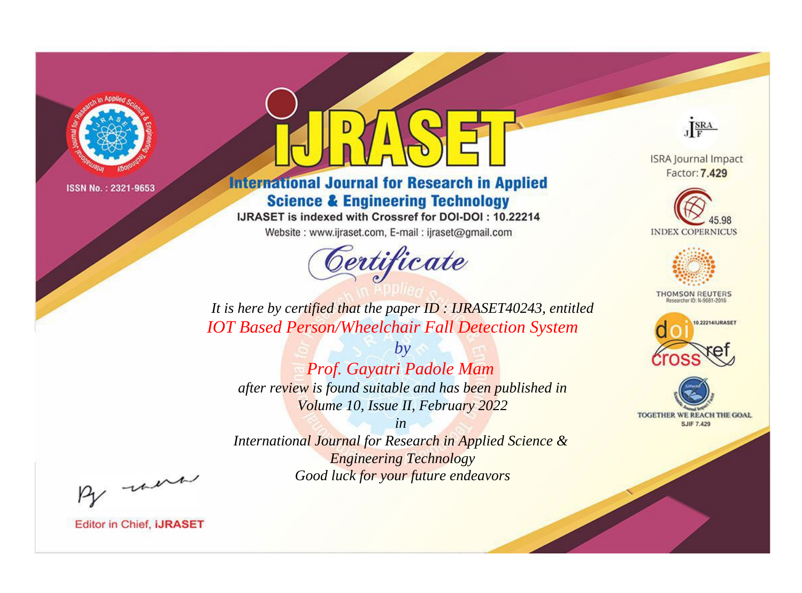

# **International Journal for Research in Applied Science & Engineering Technology**

IJRASET is indexed with Crossref for DOI-DOI: 10.22214

Website: www.ijraset.com, E-mail: ijraset@gmail.com



JERA

**ISRA Journal Impact** Factor: 7.429





**THOMSON REUTERS** 



TOGETHER WE REACH THE GOAL **SJIF 7.429** 

It is here by certified that the paper ID: IJRASET40243, entitled **IOT Based Person/Wheelchair Fall Detection System** 

 $by$ Prof. Gayatri Padole Mam after review is found suitable and has been published in Volume 10, Issue II, February 2022

 $in$ International Journal for Research in Applied Science & **Engineering Technology** Good luck for your future endeavors

By morn